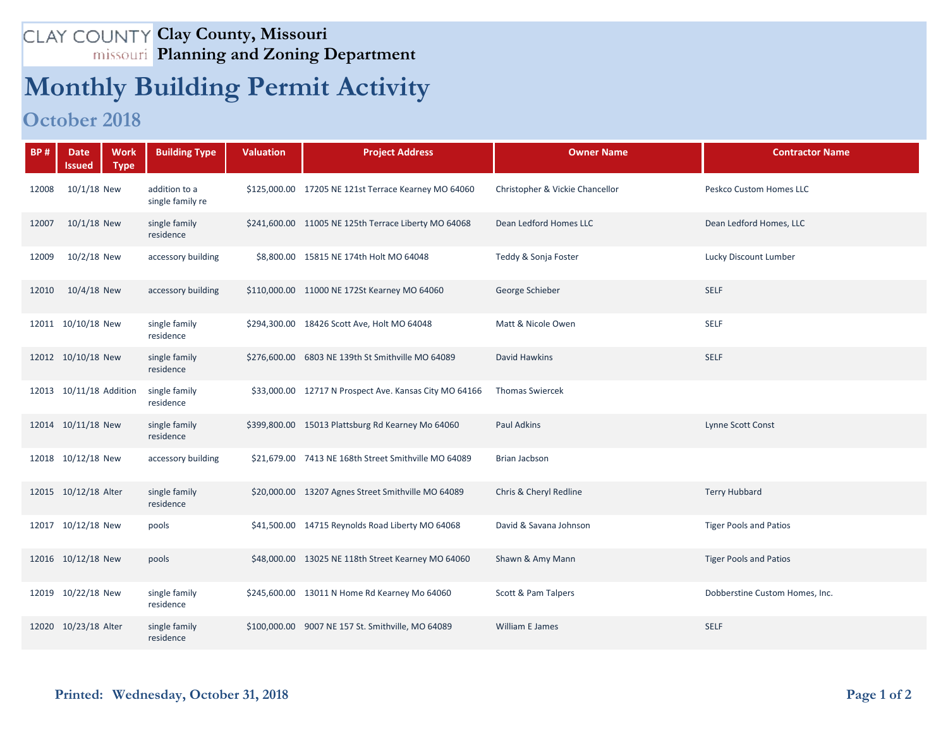## **Clay County, Missouri Planning and Zoning Department**

## **Monthly Building Permit Activity**

## **October 2018**

| <b>BP#</b> | <b>Date</b><br>lssued   | <b>Work</b><br><b>Building Type</b><br><b>Type</b> | <b>Valuation</b> | <b>Project Address</b>                                 | <b>Owner Name</b>               | <b>Contractor Name</b>         |
|------------|-------------------------|----------------------------------------------------|------------------|--------------------------------------------------------|---------------------------------|--------------------------------|
| 12008      | $10/1/18$ New           | addition to a<br>single family re                  |                  | \$125,000.00 17205 NE 121st Terrace Kearney MO 64060   | Christopher & Vickie Chancellor | Peskco Custom Homes LLC        |
| 12007      | 10/1/18 New             | single family<br>residence                         |                  | \$241,600.00 11005 NE 125th Terrace Liberty MO 64068   | Dean Ledford Homes LLC          | Dean Ledford Homes, LLC        |
| 12009      | 10/2/18 New             | accessory building                                 |                  | \$8,800.00 15815 NE 174th Holt MO 64048                | Teddy & Sonja Foster            | Lucky Discount Lumber          |
| 12010      | 10/4/18 New             | accessory building                                 |                  | \$110,000.00 11000 NE 172St Kearney MO 64060           | George Schieber                 | <b>SELF</b>                    |
|            | 12011 10/10/18 New      | single family<br>residence                         |                  | \$294,300.00 18426 Scott Ave, Holt MO 64048            | Matt & Nicole Owen              | SELF                           |
|            | 12012 10/10/18 New      | single family<br>residence                         |                  | \$276,600.00 6803 NE 139th St Smithville MO 64089      | David Hawkins                   | <b>SELF</b>                    |
|            | 12013 10/11/18 Addition | single family<br>residence                         |                  | \$33,000.00 12717 N Prospect Ave. Kansas City MO 64166 | <b>Thomas Swiercek</b>          |                                |
|            | 12014 10/11/18 New      | single family<br>residence                         |                  | \$399,800.00 15013 Plattsburg Rd Kearney Mo 64060      | <b>Paul Adkins</b>              | Lynne Scott Const              |
|            | 12018 10/12/18 New      | accessory building                                 |                  | \$21,679.00 7413 NE 168th Street Smithville MO 64089   | Brian Jacbson                   |                                |
|            | 12015 10/12/18 Alter    | single family<br>residence                         |                  | \$20,000.00 13207 Agnes Street Smithville MO 64089     | Chris & Cheryl Redline          | <b>Terry Hubbard</b>           |
|            | 12017 10/12/18 New      | pools                                              |                  | \$41,500.00 14715 Reynolds Road Liberty MO 64068       | David & Savana Johnson          | <b>Tiger Pools and Patios</b>  |
|            | 12016 10/12/18 New      | pools                                              |                  | \$48,000.00 13025 NE 118th Street Kearney MO 64060     | Shawn & Amy Mann                | <b>Tiger Pools and Patios</b>  |
|            | 12019 10/22/18 New      | single family<br>residence                         |                  | \$245,600.00 13011 N Home Rd Kearney Mo 64060          | Scott & Pam Talpers             | Dobberstine Custom Homes, Inc. |
|            | 12020 10/23/18 Alter    | single family<br>residence                         |                  | \$100,000.00 9007 NE 157 St. Smithville, MO 64089      | William E James                 | <b>SELF</b>                    |